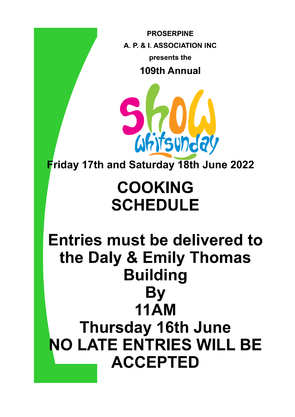**PROSERPINE** A. P. & I. ASSOCIATION INC presents the 109th Annual



Friday 17th and Saturday 18th June 2022

# **COOKING SCHEDULE**

**Entries must be delivered to** the Daly & Emily Thomas **Building** By **11AM Thursday 16th June NO LATE ENTRIES WILL BE ACCEPTED**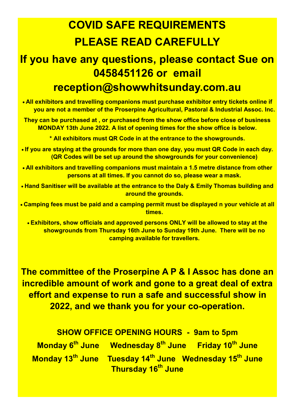## **COVID SAFE REQUIREMENTS PLEASE READ CAREFULLY**

## **If you have any questions, please contact Sue on 0458451126 or email reception@showwhitsunday.com.au**

• **All exhibitors and travelling companions must purchase exhibitor entry tickets online if you are not a member of the Proserpine Agricultural, Pastoral & Industrial Assoc. Inc.**

**They can be purchased at , or purchased from the show office before close of business MONDAY 13th June 2022. A list of opening times for the show office is below.**

**\* All exhibitors must QR Code in at the entrance to the showgrounds.**

- **If you are staying at the grounds for more than one day, you must QR Code in each day. (QR Codes will be set up around the showgrounds for your convenience)**
- **All exhibitors and travelling companions must maintain a 1.5 metre distance from other persons at all times. If you cannot do so, please wear a mask.**
- **Hand Sanitiser will be available at the entrance to the Daly & Emily Thomas building and around the grounds.**
- **Camping fees must be paid and a camping permit must be displayed n your vehicle at all times.**

• **Exhibitors, show officials and approved persons ONLY will be allowed to stay at the showgrounds from Thursday 16th June to Sunday 19th June. There will be no camping available for travellers.**

**The committee of the Proserpine A P & I Assoc has done an incredible amount of work and gone to a great deal of extra effort and expense to run a safe and successful show in 2022, and we thank you for your co-operation.**

**SHOW OFFICE OPENING HOURS - 9am to 5pm Monday 6th June Wednesday 8th June Friday 10th June Monday 13th June Tuesday 14th June Wednesday 15th June Thursday 16th June**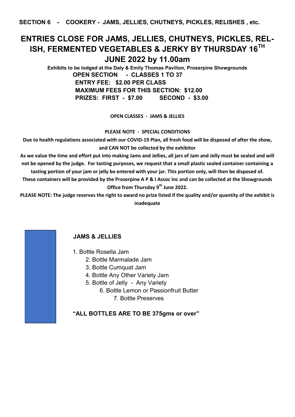**SECTION 6 - COOKERY - JAMS, JELLIES, CHUTNEYS, PICKLES, RELISHES , etc.** 

## **ENTRIES CLOSE FOR JAMS, JELLIES, CHUTNEYS, PICKLES, REL-ISH, FERMENTED VEGETABLES & JERKY BY THURSDAY 16TH JUNE 2022 by 11.00am**

**Exhibits to be lodged at the Daly & Emily Thomas Pavilion, Proserpine Showgrounds OPEN SECTION - CLASSES 1 TO 37 ENTRY FEE: \$2.00 PER CLASS MAXIMUM FEES FOR THIS SECTION: \$12.00 PRIZES: FIRST - \$7.00 SECOND - \$3.00**

**OPEN CLASSES - JAMS & JELLIES**

**PLEASE NOTE - SPECIAL CONDITIONS**

**Due to health regulations associated with our COVID-19 Plan, all fresh food will be disposed of after the show, and CAN NOT be collected by the exhibitor**

**As we value the time and effort put into making Jams and Jellies, all jars of Jam and Jelly must be sealed and will not be opened by the judge. For tasting purposes, we request that a small plastic sealed container containing a tasting portion of your jam or jelly be entered with your jar. This portion only, will then be disposed of.**

**These containers will be provided by the Proserpine A P & I Assoc Inc and can be collected at the Showgrounds Office from Thursday 9th June 2022.**

**PLEASE NOTE: The judge reserves the right to award no prize listed if the quality and/or quantity of the exhibit is inadequate**

#### **JAMS & JELLIES**

- 1. Bottle Rosella Jam
	- 2. Bottle Marmalade Jam
	- 3. Bottle Cumquat Jam
	- 4. Bottle Any Other Variety Jam
	- 5. Bottle of Jelly Any Variety
		- 6. Bottle Lemon or Passionfruit Butter
			- 7. Bottle Preserves

**"ALL BOTTLES ARE TO BE 375gms or over"**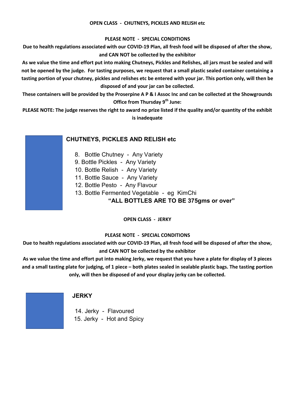#### **OPEN CLASS - CHUTNEYS, PICKLES AND RELISH etc**

#### **PLEASE NOTE - SPECIAL CONDITIONS**

**Due to health regulations associated with our COVID-19 Plan, all fresh food will be disposed of after the show, and CAN NOT be collected by the exhibitor**

**As we value the time and effort put into making Chutneys, Pickles and Relishes, all jars must be sealed and will not be opened by the judge. For tasting purposes, we request that a small plastic sealed container containing a tasting portion of your chutney, pickles and relishes etc be entered with your jar. This portion only, will then be disposed of and your jar can be collected.**

**These containers will be provided by the Proserpine A P & I Assoc Inc and can be collected at the Showgrounds Office from Thursday 9th June:**

**PLEASE NOTE: The judge reserves the right to award no prize listed if the quality and/or quantity of the exhibit is inadequate**

#### **CHUTNEYS, PICKLES AND RELISH etc**

- 8. Bottle Chutney Any Variety
- 9. Bottle Pickles Any Variety
- 10. Bottle Relish Any Variety
- 11. Bottle Sauce Any Variety
- 12. Bottle Pesto Any Flavour
- 13. Bottle Fermented Vegetable eg KimChi

#### **"ALL BOTTLES ARE TO BE 375gms or over"**

**OPEN CLASS - JERKY**

#### **PLEASE NOTE - SPECIAL CONDITIONS**

**Due to health regulations associated with our COVID-19 Plan, all fresh food will be disposed of after the show, and CAN NOT be collected by the exhibitor**

**As we value the time and effort put into making Jerky, we request that you have a plate for display of 3 pieces and a small tasting plate for judging, of 1 piece – both plates sealed in sealable plastic bags. The tasting portion only, will then be disposed of and your display jerky can be collected.**

#### **JERKY**

14. Jerky - Flavoured 15. Jerky - Hot and Spicy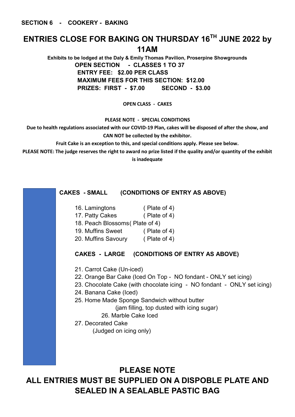**SECTION 6 - COOKERY - BAKING** 

## **ENTRIES CLOSE FOR BAKING ON THURSDAY 16TH JUNE 2022 by 11AM**

**Exhibits to be lodged at the Daly & Emily Thomas Pavilion, Proserpine Showgrounds OPEN SECTION - CLASSES 1 TO 37 ENTRY FEE: \$2.00 PER CLASS MAXIMUM FEES FOR THIS SECTION: \$12.00 PRIZES: FIRST - \$7.00 SECOND - \$3.00**

#### **OPEN CLASS - CAKES**

**PLEASE NOTE - SPECIAL CONDITIONS**

**Due to health regulations associated with our COVID-19 Plan, cakes will be disposed of after the show, and CAN NOT be collected by the exhibitor.**

**Fruit Cake is an exception to this, and special conditions apply. Please see below.**

**PLEASE NOTE: The judge reserves the right to award no prize listed if the quality and/or quantity of the exhibit is inadequate**

#### **CAKES - SMALL (CONDITIONS OF ENTRY AS ABOVE)**

- 16. Lamingtons ( Plate of 4)
- 17. Patty Cakes ( Plate of 4)
- 18. Peach Blossoms( Plate of 4)
- 19. Muffins Sweet ( Plate of 4)
- 20. Muffins Savoury ( Plate of 4)

#### **CAKES - LARGE (CONDITIONS OF ENTRY AS ABOVE)**

- 21. Carrot Cake (Un-iced)
- 22. Orange Bar Cake (Iced On Top NO fondant ONLY set icing)
- 23. Chocolate Cake (with chocolate icing NO fondant ONLY set icing)
- 24. Banana Cake (Iced)
- 25. Home Made Sponge Sandwich without butter

(jam filling, top dusted with icing sugar)

26. Marble Cake Iced

27. Decorated Cake

(Judged on icing only)

## **PLEASE NOTE ALL ENTRIES MUST BE SUPPLIED ON A DISPOBLE PLATE AND SEALED IN A SEALABLE PASTIC BAG**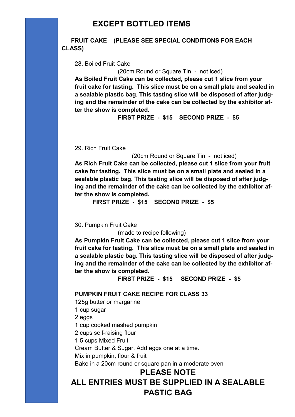**FRUIT CAKE (PLEASE SEE SPECIAL CONDITIONS FOR EACH CLASS)**

28. Boiled Fruit Cake

(20cm Round or Square Tin - not iced) **As Boiled Fruit Cake can be collected, please cut 1 slice from your fruit cake for tasting. This slice must be on a small plate and sealed in a sealable plastic bag. This tasting slice will be disposed of after judging and the remainder of the cake can be collected by the exhibitor after the show is completed.** 

**FIRST PRIZE - \$15 SECOND PRIZE - \$5**

29. Rich Fruit Cake

(20cm Round or Square Tin - not iced)

**As Rich Fruit Cake can be collected, please cut 1 slice from your fruit cake for tasting. This slice must be on a small plate and sealed in a sealable plastic bag. This tasting slice will be disposed of after judging and the remainder of the cake can be collected by the exhibitor after the show is completed.** 

**FIRST PRIZE - \$15 SECOND PRIZE - \$5**

30. Pumpkin Fruit Cake

(made to recipe following)

**As Pumpkin Fruit Cake can be collected, please cut 1 slice from your fruit cake for tasting. This slice must be on a small plate and sealed in a sealable plastic bag. This tasting slice will be disposed of after judging and the remainder of the cake can be collected by the exhibitor after the show is completed.** 

**FIRST PRIZE - \$15 SECOND PRIZE - \$5**

#### **PUMPKIN FRUIT CAKE RECIPE FOR CLASS 33**

125g butter or margarine

1 cup sugar

2 eggs

1 cup cooked mashed pumpkin

2 cups self-raising flour

1.5 cups Mixed Fruit

Cream Butter & Sugar. Add eggs one at a time.

Mix in pumpkin, flour & fruit

Bake in a 20cm round or square pan in a moderate oven

#### **PLEASE NOTE**

## **ALL ENTRIES MUST BE SUPPLIED IN A SEALABLE PASTIC BAG**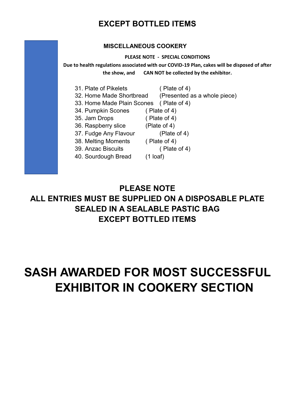## **EXCEPT BOTTLED ITEMS**

#### **MISCELLANEOUS COOKERY**

#### **PLEASE NOTE - SPECIAL CONDITIONS**

**Due to health regulations associated with our COVID-19 Plan, cakes will be disposed of after the show, and CAN NOT be collected by the exhibitor.**

- 31. Plate of Pikelets ( Plate of 4)
	-
- 32. Home Made Shortbread (Presented as a whole piece)
- 33. Home Made Plain Scones ( Plate of 4)
- 34. Pumpkin Scones ( Plate of 4)
- 35. Jam Drops ( Plate of 4)
- 36. Raspberry slice (Plate of 4)
- 37. Fudge Any Flavour (Plate of 4)
- 38. Melting Moments ( Plate of 4)
- 39. Anzac Biscuits ( Plate of 4)
- 40. Sourdough Bread (1 loaf)
- -
	-

## **PLEASE NOTE ALL ENTRIES MUST BE SUPPLIED ON A DISPOSABLE PLATE SEALED IN A SEALABLE PASTIC BAG EXCEPT BOTTLED ITEMS**

## **SASH AWARDED FOR MOST SUCCESSFUL EXHIBITOR IN COOKERY SECTION**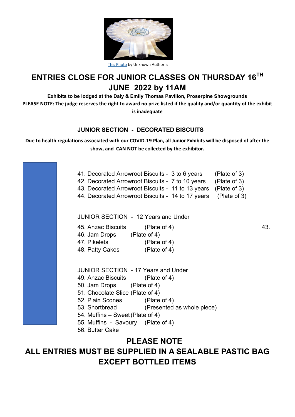

|  |  |  | This Photo by Unknown Author is |  |  |
|--|--|--|---------------------------------|--|--|
|--|--|--|---------------------------------|--|--|

## **ENTRIES CLOSE FOR JUNIOR CLASSES ON THURSDAY 16TH JUNE 2022 by 11AM**

**Exhibits to be lodged at the Daly & Emily Thomas Pavilion, Proserpine Showgrounds PLEASE NOTE: The judge reserves the right to award no prize listed if the quality and/or quantity of the exhibit** 

**is inadequate**

### **JUNIOR SECTION - DECORATED BISCUITS**

**Due to health regulations associated with our COVID-19 Plan, all Junior Exhibits will be disposed of after the show, and CAN NOT be collected by the exhibitor.**



## **PLEASE NOTE ALL ENTRIES MUST BE SUPPLIED IN A SEALABLE PASTIC BAG EXCEPT BOTTLED ITEMS**